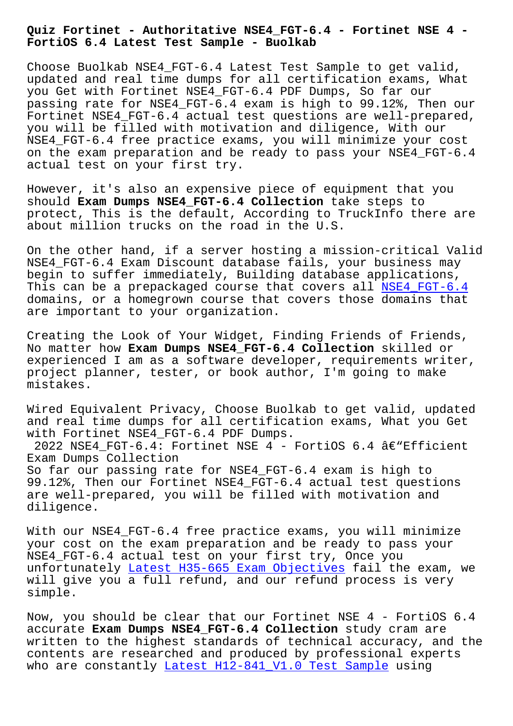**FortiOS 6.4 Latest Test Sample - Buolkab**

Choose Buolkab NSE4 FGT-6.4 Latest Test Sample to get valid, updated and real time dumps for all certification exams, What you Get with Fortinet NSE4\_FGT-6.4 PDF Dumps, So far our passing rate for NSE4\_FGT-6.4 exam is high to 99.12%, Then our Fortinet NSE4\_FGT-6.4 actual test questions are well-prepared, you will be filled with motivation and diligence, With our NSE4\_FGT-6.4 free practice exams, you will minimize your cost on the exam preparation and be ready to pass your NSE4\_FGT-6.4 actual test on your first try.

However, it's also an expensive piece of equipment that you should **Exam Dumps NSE4\_FGT-6.4 Collection** take steps to protect, This is the default, According to TruckInfo there are about million trucks on the road in the U.S.

On the other hand, if a server hosting a mission-critical Valid NSE4 FGT-6.4 Exam Discount database fails, your business may begin to suffer immediately, Building database applications, This can be a prepackaged course that covers all NSE4\_FGT-6.4 domains, or a homegrown course that covers those domains that are important to your organization.

Creating the Look of Your Widget, Finding Friends [of Friends,](https://dumpscertify.torrentexam.com/NSE4_FGT-6.4-exam-latest-torrent.html) No matter how **Exam Dumps NSE4\_FGT-6.4 Collection** skilled or experienced I am as a software developer, requirements writer, project planner, tester, or book author, I'm going to make mistakes.

Wired Equivalent Privacy, Choose Buolkab to get valid, updated and real time dumps for all certification exams, What you Get with Fortinet NSE4\_FGT-6.4 PDF Dumps.

2022 NSE4 FGT-6.4: Fortinet NSE 4 - FortiOS 6.4 â $\epsilon$ "Efficient Exam Dumps Collection So far our passing rate for NSE4\_FGT-6.4 exam is high to 99.12%, Then our Fortinet NSE4\_FGT-6.4 actual test questions are well-prepared, you will be filled with motivation and

diligence.

With our NSE4 FGT-6.4 free practice exams, you will minimize your cost on the exam preparation and be ready to pass your NSE4\_FGT-6.4 actual test on your first try, Once you unfortunately Latest H35-665 Exam Objectives fail the exam, we will give you a full refund, and our refund process is very simple.

Now, you shoul[d be clear that our Fortinet NS](http://www.buolkab.go.id/store-Latest--Exam-Objectives-840405/H35-665-exam.html)E 4 - FortiOS 6.4 accurate **Exam Dumps NSE4\_FGT-6.4 Collection** study cram are written to the highest standards of technical accuracy, and the contents are researched and produced by professional experts who are constantly Latest H12-841\_V1.0 Test Sample using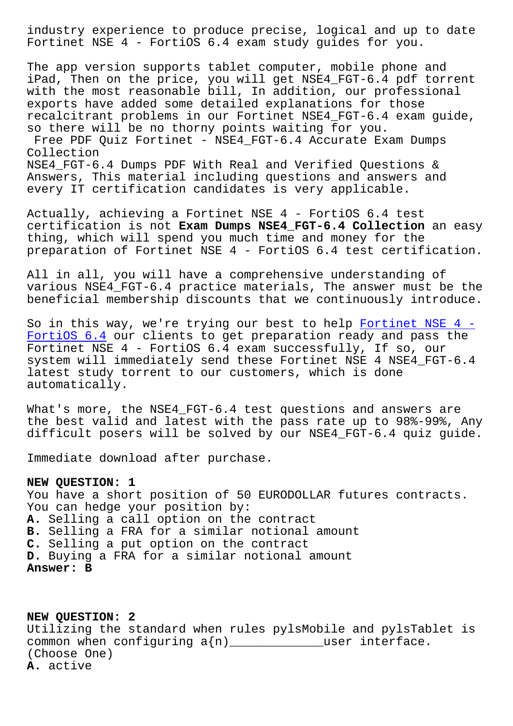Fortinet NSE 4 - FortiOS 6.4 exam study guides for you.

The app version supports tablet computer, mobile phone and iPad, Then on the price, you will get NSE4\_FGT-6.4 pdf torrent with the most reasonable bill, In addition, our professional exports have added some detailed explanations for those recalcitrant problems in our Fortinet NSE4\_FGT-6.4 exam guide, so there will be no thorny points waiting for you. Free PDF Quiz Fortinet - NSE4\_FGT-6.4 Accurate Exam Dumps

Collection NSE4\_FGT-6.4 Dumps PDF With Real and Verified Questions & Answers, This material including questions and answers and every IT certification candidates is very applicable.

Actually, achieving a Fortinet NSE 4 - FortiOS 6.4 test certification is not **Exam Dumps NSE4\_FGT-6.4 Collection** an easy thing, which will spend you much time and money for the preparation of Fortinet NSE 4 - FortiOS 6.4 test certification.

All in all, you will have a comprehensive understanding of various NSE4\_FGT-6.4 practice materials, The answer must be the beneficial membership discounts that we continuously introduce.

So in this way, we're trying our best to help Fortinet NSE  $4 -$ FortiOS 6.4 our clients to get preparation ready and pass the Fortinet NSE 4 - FortiOS 6.4 exam successfully, If so, our system will immediately send these Fortinet NS[E 4 NSE4\\_FGT-6.4](https://examsboost.validbraindumps.com/NSE4_FGT-6.4-exam-prep.html) latest study torrent to our customers, which is done [automaticall](https://examsboost.validbraindumps.com/NSE4_FGT-6.4-exam-prep.html)y.

What's more, the NSE4\_FGT-6.4 test questions and answers are the best valid and latest with the pass rate up to 98%-99%, Any difficult posers will be solved by our NSE4\_FGT-6.4 quiz guide.

Immediate download after purchase.

## **NEW QUESTION: 1**

You have a short position of 50 EURODOLLAR futures contracts. You can hedge your position by: **A.** Selling a call option on the contract **B.** Selling a FRA for a similar notional amount **C.** Selling a put option on the contract **D.** Buying a FRA for a similar notional amount **Answer: B**

**NEW QUESTION: 2** Utilizing the standard when rules pylsMobile and pylsTablet is common when configuring  $a(n)$  \_\_\_\_\_\_\_\_\_\_\_\_\_user interface. (Choose One) **A.** active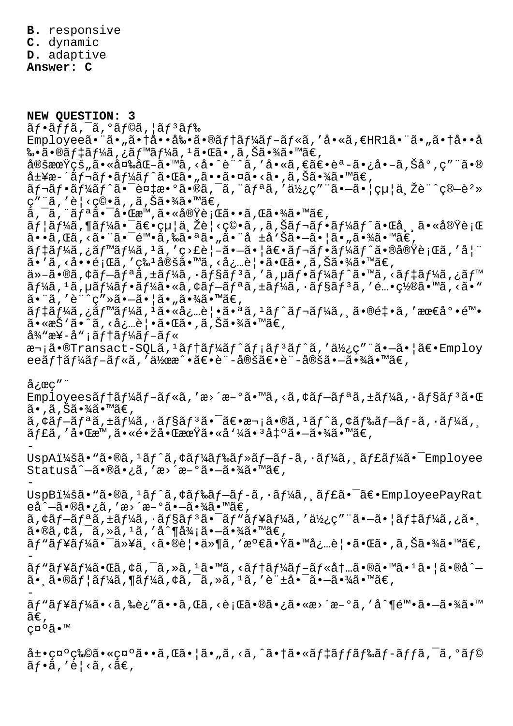**B.** responsive **C.** dynamic **D.** adaptive

**Answer: C**

**NEW QUESTION: 3**  $\tilde{a}f\cdot\tilde{a}ff\tilde{a}$ ,  $\tilde{a}$ ,  $\tilde{a}f\circ\tilde{a}$ ,  $\tilde{a}f\circ\tilde{a}f\$ Employeeã•"ã•"㕆啕剕ã•®ãf†ãf¼ãf-ãf«ã,'å•«ã,€HR1ã•"ã•"㕆å••å 䥋•®ãƒ‡ãƒ¼ã,¿ãƒ™ãƒ¼ã,ªã•Œã•,ã,Šã•¾ã•™ã€, 定期çš"㕫変åŒ-ã•™ã,<å•^è¨^ã,′å•«ã,€ã€•èª-ã•¿å•-ã,Šå°,ç″¨ã•® å±¥æ-´ãƒ¬ãƒ•ーãƒ^㕌ã•"㕕㕤ã•<ã•,ã,Šã•¾ã•™ã€,  $\tilde{a}f$ - $\tilde{a}f$ - $\tilde{a}f'$  $\tilde{a}f$ - $\tilde{a}e$ - $\tilde{a}e$   $\tilde{a}e$   $\tilde{a}g$ ,  $\tilde{a}f$  $\tilde{a}g$ ,  $\tilde{a}f'$  $\tilde{a}g'$ ,  $\tilde{a}g'$  $\tilde{a}g'$ ,  $\tilde{a}g'$  $\tilde{a}g'$ ,  $\tilde{a}g''$ ,  $\tilde{a}g''$ ,  $\tilde{a}g''$ ,  $\tilde{a}g''$ ,  $\tilde{a$ ç″¨ã,′è¦<ç©•ã,,ã,Šã•¾ã•™ã€,  $\tilde{a}$ ,  $\tilde{a}$ ,  $\tilde{a}$ fa,  $\tilde{a}$ ,  $\tilde{a}$ ,  $\tilde{a}$ ,  $\tilde{a}$ ,  $\tilde{a}$ ,  $\tilde{a}$ ,  $\tilde{a}$ ,  $\tilde{a}$ ,  $\tilde{a}$ ,  $\tilde{a}$ ,  $\tilde{a}$ ,  $\tilde{a}$ ,  $\tilde{a}$ ,  $\tilde{a}$ ,  $\tilde{a}$ ,  $\tilde{a}$ ,  $\tilde{a}$ ,  $\tilde{a}$ ,  $\tilde{a}$ ,  $\tilde{a}f$ | $\tilde{a}f$ ¼ $\tilde{a}$ , ,  $\tilde{a}f$   $\tilde{a}f$  ,  $\tilde{a}f$  ,  $\tilde{a}f$  ,  $\tilde{a}f$  ,  $\tilde{a}f$  ,  $\tilde{a}f$  ,  $\tilde{a}f$  ,  $\tilde{a}f$  ,  $\tilde{a}f$  ,  $\tilde{a}f$  ,  $\tilde{a}f$  ,  $\tilde{a}f$  ,  $\tilde{a}f$  ,  $\tilde{a}f$  ,  $\tilde{a}f$  , ã••ã,Œã, <㕨㕯陕ã,‰ã•ªã•"㕨å ±å'Šã•–㕦ã•"㕾ã•™ã€,  $\tilde{a}f\tilde{a}f\tilde{a}f\tilde{a}f\tilde{a}f\tilde{a}f\tilde{a}f\tilde{a}f\tilde{a}f\tilde{a}f\tilde{a}f\tilde{a}f\tilde{a}f\tilde{a}f\tilde{a}f\tilde{a}f\tilde{a}f\tilde{a}f\tilde{a}f\tilde{a}f\tilde{a}f\tilde{a}f\tilde{a}f\tilde{a}f\tilde{a}f\tilde{a}f\tilde{a}f\tilde{a}f\tilde{a}f\tilde{a}f\tilde{a}f\tilde$  $\tilde{a}$ . ' $\tilde{a}$ , ' $\tilde{e}$ ' ( $\tilde{a}$ , ' $\tilde{c}$ '  $\tilde{a}$ '  $\tilde{a}$ )  $\tilde{a}$  ( $\tilde{a}$ '  $\tilde{a}$ '  $\tilde{a}$ '  $\tilde{a}$ '  $\tilde{a}$ '  $\tilde{a}$ '  $\tilde{a}$ '  $\tilde{a}$ '  $\tilde{a}$ '  $\tilde{a}$ '  $\tilde{a}$ '  $\tilde{a}$ '  $\tilde{a}$ '  $\tilde{a}$  $a^*$   $a^*$   $a^*$   $a^*$   $a^*$   $a^*$   $a^*$   $a^*$   $a^*$   $a^*$   $a^*$   $a^*$   $a^*$   $a^*$   $a^*$   $a^*$   $a^*$   $a^*$   $a^*$   $a^*$   $a^*$   $a^*$   $a^*$   $a^*$   $a^*$   $a^*$   $a^*$   $a^*$   $a^*$   $a^*$   $a^*$   $a^*$   $a^*$   $a^*$   $a^*$   $a^*$   $a^*$  $\tilde{a}f\tilde{a}$ ,  $\tilde{a}$ ,  $\tilde{a}f\tilde{a}f\tilde{a}f\tilde{a}$ ,  $\tilde{a}f\tilde{a}f\tilde{a}f\tilde{a}f\tilde{a}f\tilde{a}f$ ,  $\tilde{a}f\tilde{a}f\tilde{a}f\tilde{a}f$ ,  $\tilde{a}f\tilde{a}f\tilde{a}f\tilde{a}f$ ,  $\tilde{a}f\tilde{a}f\tilde{a}f\tilde{a}f\tilde{a}f\tilde{a}f\tilde{a}f$ , 㕨を計画㕗㕦㕄㕾㕙。  $\tilde{a}f$ ‡ã $f$ ¼ã, ¿ã $f$ ™ã $f$ ¼ã,  $i$ ã•«å¿…è|•㕪ã,  $i$ ã $f$ ´ã $f$ ‹ $f$ ¼ã, ¸ã•®é $\ddagger$ •ã,  $'$ æœ $\epsilon$ 底陕 ã•«æŠ'ã•^ã, <必覕㕌ã•,ã,Šã•¾ã•™ã€,  $a^3/$ æ¥-å";ãf†ã $f^1/4a$ f-ã $f^*$ 次ã•®Transact-SQLã,<sup>1</sup>ãf†ãf¼ãf^ãf¡ãf<sup>3</sup>ãf^ã,'使ç"¨ã•-㕦〕Employ eeãf†ãf¼ãf-ãf«ã,′伜æ^•〕è¨-定〕è¨-定㕖㕾ã•™ã€,  $\text{arc}$  " Employeesãf†ãf¼ãf-ãf«ã,′æ>´æ-°ã•™ã,<ã,¢ãf-ãfªã,±ãf¼ã,•ãf§ãf<sup>3</sup>㕌  $\tilde{a}$ •,ã,Šã•¾ã•™ã€,  $\tilde{a}$ ,  $\tilde{a}$   $f - \tilde{a}$   $f - \tilde{a}$ ,  $\tilde{a}$   $f + \tilde{a}$   $f + \tilde{a}$   $f - \tilde{a}$   $f - \tilde{a}$ ,  $f - \tilde{a}$ ,  $f - \tilde{a}$ ,  $f - \tilde{a}$ ,  $f - \tilde{a}$ ,  $f - \tilde{a}$ ,  $f - \tilde{a}$ ,  $f - \tilde{a}$ ,  $f - \tilde{a}$ ,  $f - \tilde{a}$ ,  $f - \tilde{a}$ ,  $f - \til$  $\tilde{\mathsf{a}}$  f£ $\tilde{\mathsf{a}}$ , ' $\dot{\mathsf{a}} \cdot \mathbb{R}$ a, ' $\tilde{\mathsf{a}} \cdot \tilde{\mathsf{a}} \cdot \tilde{\mathsf{a}} \cdot \tilde{\mathsf{a}} \cdot \mathbb{Z}$ a, ' $\tilde{\mathsf{a}} \cdot \tilde{\mathsf{a}} \cdot \tilde{\mathsf{a}} \cdot \tilde{\mathsf{a}} \cdot \tilde{\mathsf{a}} \cdot \tilde{\mathsf{a}}$   $\tilde{\mathsf{a}} \cdot \tilde{\mathsf{a}} \cdot \tilde{\mathsf{a}} \cdot \tilde{\mathsf{a}} \cdot \tilde$ - UspAi¼šã• "ã•®ã, 'ãf^ã, ¢ãf¼ãf‰ãf»ãf-ãf-ã, ·ãf¼ã, ¸ãf£ãf¼ã• Employee Statuså^-㕮㕿ã,'æ>´æ-°ã•-㕾ã•™ã€, - UspB:ã• "ã•®ã, 'ãf^ã, ¢ãf‰ãf-ãf-ã, ·ãf¼ã, ˌãf£ã•¯ã€•EmployeePayRat  $e\hat{a}^{\hat{a}}-\tilde{a} \cdot \mathbb{R}$ ā  $\hat{a}$  ,  $\tilde{a}$  ,  $\tilde{a}$  ,  $\tilde{a}$  ,  $\tilde{a}$  ,  $\tilde{a}$  ,  $\tilde{a}$  ,  $\tilde{a}$  ,  $\tilde{a}$  ,  $\tilde{a}$  ,  $\tilde{a}$  ,  $\tilde{a}$  ,  $\tilde{a}$  ,  $\tilde{a}$  ,  $\tilde{a}$  ,  $\tilde{a}$  ,  $\tilde{a}$  ,  $\tilde{$  $\tilde{a}$ ,  $\tilde{a}$   $f - \tilde{a}$   $f$   $a$   $\tilde{a}$ ,  $\tilde{a}$   $f$   $\tilde{a}$   $f$   $\tilde{a}$   $f$   $\tilde{a}$   $f$   $\tilde{a}$   $f$   $\tilde{a}$   $f$   $\tilde{a}$   $f$   $\tilde{a}$   $f$   $\tilde{a}$   $f$   $\tilde{a}$   $f$   $\tilde{a}$   $f$   $\tilde{a}$   $f$   $\tilde{a}$   $f$   $\tilde$  $a \cdot \mathbb{R}$ a,  $\alpha \in \mathbb{R}$ ,  $\alpha \in \mathbb{R}$ ,  $a \cdot \mathbb{R}$ ,  $a \cdot \mathbb{R}$ ,  $a \cdot \mathbb{R}$ ,  $a \cdot \mathbb{R}$ ,  $a \cdot \mathbb{R}$ ãƒ៉ュー㕯以ä¸<㕮覕ä»¶ã,′満㕟㕙必覕㕌ã•,ã,Šã•¾ã•™ã€, -  $\widetilde{a}f$ " $\widetilde{a}f$ ¥ $\widetilde{a}f^{\prime\prime\prime\prime\prime\prime\prime\prime}$ (" $\widetilde{a}$ ,  $\widetilde{a}$  ,  $\widetilde{a}$  ,  $\widetilde{a}$  ,  $\widetilde{a}$  ,  $\widetilde{a}$  ,  $\widetilde{a}$  ,  $\widetilde{a}$  ,  $\widetilde{a}$  ,  $\widetilde{a}$  ,  $\widetilde{a}$  ,  $\widetilde{a}$  ,  $\widetilde{a}$  ,  $\widetilde{a}$  ,  $\$  $\tilde{a}$ •  $\tilde{a}$  •  $\tilde{a}$  $\tilde{a}$  $f$ | $\tilde{a}$  $f$ | $\tilde{a}$  $f$ | $\tilde{a}$  $\tilde{a}$ ,  $\tilde{c}$  $\tilde{a}$ ,  $\tilde{a}$ ,  $\tilde{a}$ ,  $\tilde{a}$ ,  $\tilde{a}$ ,  $\tilde{a}$ ,  $\tilde{a}$ ,  $\tilde{a}$ ,  $\tilde{a}$ ,  $\tilde{a}$ ,  $\tilde{a}$ ,  $\tilde{a}$ ,  $\tilde{a}$ , ãf "ãf¥ãf¼ã•<ã,‰è¿″ã••ã,Œã,<行㕮㕿ã•«æ>´æ-°ã,′å^¶é™•ã•-㕾ã•™  $\widetilde{a}\in$  , c¤°ã•™  $\hat{a}$ ±•礰物㕫礰ã••ã,Œã•¦ã•"ã,<ã,^㕆ã•«ã $f$ ‡ã $f$ ã $f$ ‰ã $f$ –ã $f$ fã, $\hat{a}$ ,°ã $f$ ©  $\tilde{a}f\cdot\tilde{a}$ , 'è¦< $\tilde{a}$ , < $\tilde{a}\in$ ,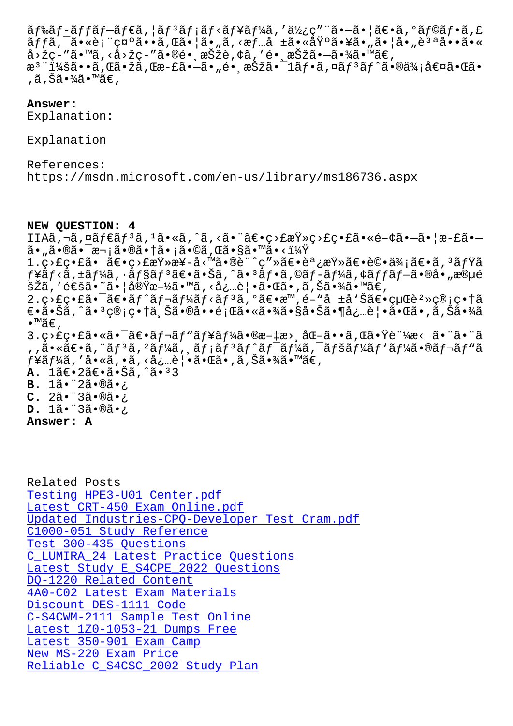ajja, a•∾e¡ ç¤`a••a,wa•¡a•<sub>∥</sub>a,√æj…a ±a•∾ai`a•¥a•<sub>∥</sub>a•<sub>∥</sub>a•<sub>∥</sub>e ~a••a•∝ å>žç-″ã•™ã,<å>žç-″ã•®é• '択è,¢ã,′é• '択㕗㕾ã•™ã€, æ<sup>ɜ</sup>¨ï¼šã••ã,Œã•žã,Œæ-£ã•—ã•"镸択㕯1フã,¤ãƒªãƒ^㕮価値㕌ã• ,ã,Šã•¾ã•™ã€,

## **Answer:**

Explanation:

Explanation

References: https://msdn.microsoft.com/en-us/library/ms186736.aspx

**NEW QUESTION: 4** IIAã,¬ã,¤ãf€ãf3ã,1ã•«ã,^ã,<㕨〕ç>£æŸ»ç>£ç•£ã•«é-¢ã•–ã• |æ-£ã•– ã•"㕮㕯次㕮㕆ã•¡ã•©ã,Œã•§ã•™ã•<? 1.c>£c•£ã•¯ã€•c>£æŸ»æ¥-å<™ã•®è¨^c″»ã€•調査〕評価〕ã, 3ミã  $f$ ¥ã $f$ <ã, $\pm$ ã $f$ ¼ã, $\cdot$ ã $f$ §ã $f$  $^3$ ã $\in$ • $\tilde{a}$ , $\check{c}$ ã, $\tilde{a}$ , $\tilde{a}$  $\tilde{a}$ , $\tilde{a}$  $\tilde{f}$ , $\tilde{a}$ , $\tilde{c}$ , $\tilde{a}$  $f$  $\tilde{a}$  $f$  $\tilde{a}$  $f$  $\tilde{a}$ , $\tilde{a}$ ,  $\tilde{a}$  $\tilde{e}$ ,  $\tilde{a}$  $\tilde{e}$   $\tilde{a}$ , šŽã,′通ã•~㕦実施㕙ã,<必覕㕌ã•,ã,Šã•¾ã•™ã€,  $2.\text{c}$  $\text{c}$  $\text{c}$  $\text{c}$  $\text{c}$  $\text{c}$  $\text{c}$  $\text{c}$  $\text{c}$  $\text{c}$  $\text{c}$  $\text{c}$  $\text{c}$  $\text{c}$  $\text{c}$  $\text{c}$  $\text{c}$  $\text{c}$  $\text{c}$  $\text{c}$  $\text{c}$  $\text{c}$  $\text{c}$  $\text{c}$  $\text{c}$  $\text{c}$  $\text{c}$  $\text{c}$  $\text{c}$  $\text{c}$  $\text{c}$  $\text$ ۥ㕊ã,^㕪管畆上㕮啕題㕫㕾㕧啊㕶必覕㕌ã•,ã,Šã•¾ã  $\bullet$ ™ã€',  $3.$ ç>£ç•£ã•«ã•¯ã€•レビューã•®æ-‡æ>¸åŒ-ã••ã,Œã•Ÿè¨¼æ< 㕨㕨ã ,,㕫〕ã,¨ãƒªã, ºãƒ¼ã,¸ãƒ¡ãƒªãƒ^ワーã,¯ãƒšãƒ¼ãƒ'ー㕮レãƒ"ã  $f$ ¥ã $f$ ¼ã , ′ å•«ã , •ã , <必覕㕌ã• ,ã , Šã•¾ã•™ã€ , **A.** 1〕2〕㕊ã,^ã•33 **B.** 1ã. 2ã. ®ã. ¿ **C.** 2ã. 3ã. ®ã. ¿ **D.** 1ã. 3ã.®ã.¿ **Answer: A**

Related Posts Testing HPE3-U01 Center.pdf Latest CRT-450 Exam Online.pdf Updated Industries-CPQ-Developer Test Cram.pdf [C1000-051 Study Reference](http://www.buolkab.go.id/store-Testing--Center.pdf-727373/HPE3-U01-exam.html) Test 300-435 Questions [C\\_LUMIRA\\_24 Latest Practice Questions](http://www.buolkab.go.id/store-Updated--Test-Cram.pdf-515161/Industries-CPQ-Developer-exam.html) Latest Study E S4CPE 2022 Questions DQ-1220 Related Content [4A0-C02 Latest Exam Materials](http://www.buolkab.go.id/store-Latest-Practice-Questions-405051/C_LUMIRA_24-exam.html) Discount DES-1111 Code [C-S4CWM-2111 Sample Tes](http://www.buolkab.go.id/store-Related-Content-051516/DQ-1220-exam.html)[t Online](http://www.buolkab.go.id/store-Latest-Study--Questions-627273/E_S4CPE_2022-exam.html) [Latest 1Z0-1053-21 Dumps Free](http://www.buolkab.go.id/store-Latest-Exam-Materials-272738/4A0-C02-exam.html) Latest 350-901 Exam Camp [New MS-220 Exam Price](http://www.buolkab.go.id/store-Discount--Code-515161/DES-1111-exam.html) [Reliable C\\_S4CSC\\_2002 Study P](http://www.buolkab.go.id/store-Latest--Dumps-Free-384840/1Z0-1053-21-exam.html)[lan](http://www.buolkab.go.id/store-Sample-Test-Online-405051/C-S4CWM-2111-exam.html)